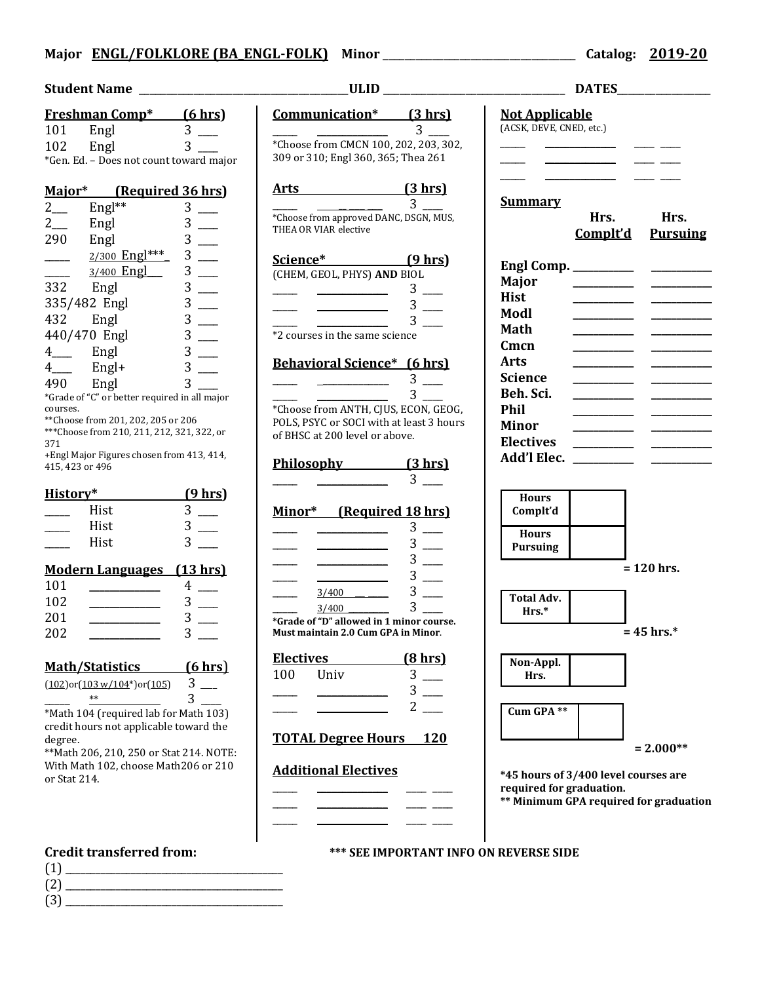# **Major ENGL/FOLKLORE (BA\_ENGL-FOLK) Minor** \_\_\_\_\_\_\_\_\_\_\_\_\_\_\_\_\_\_\_\_\_\_\_\_\_\_\_\_\_\_\_\_\_\_\_ **Catalog: 2019-20**

|     | <b>Freshman Comp*</b> | (6 hrs)                                 |
|-----|-----------------------|-----------------------------------------|
| 101 | Engl                  | 3                                       |
| 102 | Engl                  |                                         |
|     |                       | *Gen. Ed. - Does not count toward major |

| Major*       |               | (Required 36 hrs) |  |  |
|--------------|---------------|-------------------|--|--|
| 2            | Engl**        | 3                 |  |  |
| 2            | Engl          | 3                 |  |  |
| 290          | Engl          | 3                 |  |  |
|              | 2/300 Engl*** | 3                 |  |  |
|              | 3/400 Engl    | 3                 |  |  |
| 332          | Engl          | 3                 |  |  |
| 335/482 Engl |               | 3                 |  |  |
| 432          | Engl          | 3                 |  |  |
| 440/470 Engl |               | 3                 |  |  |
| 4            | Engl          | 3                 |  |  |
| 4            | Engl+         | 3                 |  |  |
| 490          | Engl          | 3                 |  |  |

\*Grade of "C" or better required in all major courses.

\*\*Choose from 201, 202, 205 or 206 \*\*\*Choose from 210, 211, 212, 321, 322, or 371

+Engl Major Figures chosen from 413, 414, 415, 423 or 496

| History* |      | $(9$ hrs) |
|----------|------|-----------|
|          | Hist |           |
|          | Hist |           |
|          | Hist |           |

## **Modern Languages (13 hrs)**

| 101 |   |
|-----|---|
| 102 |   |
| 201 | 3 |
| 202 |   |

| <b>Math/Statistics</b>               | (6 hrs) |  |
|--------------------------------------|---------|--|
| $(102)$ and $(1021104*)$ and $(105)$ |         |  |

 $(102)$ or $(103 \text{ w}/104^*)$ or $(105)$  3  $***$  3

\*Math 104 (required lab for Math 103) credit hours not applicable toward the degree.

\*\*Math 206, 210, 250 or Stat 214. NOTE: With Math 102, choose Math206 or 210 or Stat 214.

- (1) \_\_\_\_\_\_\_\_\_\_\_\_\_\_\_\_\_\_\_\_\_\_\_\_\_\_\_\_\_\_\_\_\_\_\_\_\_\_\_\_\_\_\_ (2) \_\_\_\_\_\_\_\_\_\_\_\_\_\_\_\_\_\_\_\_\_\_\_\_\_\_\_\_\_\_\_\_\_\_\_\_\_\_\_\_\_\_\_
- $(3)$

**Student Name** \_\_\_\_\_\_\_\_\_\_\_\_\_\_\_\_\_\_\_\_\_\_\_\_\_\_\_\_\_\_\_\_\_\_\_\_\_\_**ULID** \_\_\_\_\_\_\_\_\_\_\_\_\_\_\_\_\_\_\_\_\_\_\_\_\_\_\_\_\_\_\_\_\_ **DATES**\_\_\_\_\_\_\_\_\_\_\_\_\_\_\_\_\_ **Communication\* (3 hrs)**  $\frac{1}{\sqrt{2\pi}}$  ,  $\frac{1}{\sqrt{2\pi}}$  ,  $\frac{3}{\sqrt{2\pi}}$ \*Choose from CMCN 100, 202, 203, 302, 309 or 310; Engl 360, 365; Thea 261 **Arts (3 hrs)**  $\frac{1}{\sqrt{2\pi}}$   $\frac{1}{\sqrt{2\pi}}$   $\frac{3}{\sqrt{2\pi}}$ \*Choose from approved DANC, DSGN, MUS, THEA OR VIAR elective **Science\* (9 hrs)** (CHEM, GEOL, PHYS) **AND** BIOL  $3$   $\equiv$  $3$   $\equiv$  $\frac{1}{\sqrt{3}}$   $\frac{1}{\sqrt{3}}$   $\frac{1}{\sqrt{3}}$   $\frac{1}{\sqrt{3}}$   $\frac{1}{\sqrt{3}}$   $\frac{1}{\sqrt{3}}$   $\frac{1}{\sqrt{3}}$   $\frac{1}{\sqrt{3}}$   $\frac{1}{\sqrt{3}}$   $\frac{1}{\sqrt{3}}$   $\frac{1}{\sqrt{3}}$   $\frac{1}{\sqrt{3}}$   $\frac{1}{\sqrt{3}}$   $\frac{1}{\sqrt{3}}$   $\frac{1}{\sqrt{3}}$   $\frac{1}{\sqrt{3}}$   $\frac{1}{\sqrt{3}}$  \*2 courses in the same science **Behavioral Science\* (6 hrs)**  $3 \qquad \qquad$  $\frac{1}{\sqrt{2\pi}}$   $\frac{1}{\sqrt{2\pi}}$   $\frac{3}{\sqrt{2\pi}}$ \*Choose from ANTH, CJUS, ECON, GEOG, POLS, PSYC or SOCI with at least 3 hours of BHSC at 200 level or above.

**Philosophy (3 hrs)**  $3 \Box$ 

# **Minor\* (Required 18 hrs)**

- $\frac{1}{\sqrt{3}}$   $\frac{1}{\sqrt{3}}$   $\frac{1}{\sqrt{3}}$   $\frac{1}{\sqrt{3}}$   $\frac{1}{\sqrt{3}}$   $\frac{1}{\sqrt{3}}$   $\frac{1}{\sqrt{3}}$   $\frac{1}{\sqrt{3}}$   $\frac{1}{\sqrt{3}}$   $\frac{1}{\sqrt{3}}$   $\frac{1}{\sqrt{3}}$   $\frac{1}{\sqrt{3}}$   $\frac{1}{\sqrt{3}}$   $\frac{1}{\sqrt{3}}$   $\frac{1}{\sqrt{3}}$   $\frac{1}{\sqrt{3}}$   $\frac{1}{\sqrt{3}}$   $\frac{1}{\sqrt{3}}$   $\frac{1}{\sqrt{3}}$   $\frac{1}{\sqrt{3}}$   $\frac{1}{\sqrt{3}}$   $\frac{1}{\sqrt{3}}$   $\frac{1}{\sqrt{3}}$   $\frac{1}{\sqrt{3}}$   $\frac{1}{\sqrt{3}}$   $\frac{1}{\sqrt{3}}$   $\frac{1}{\sqrt{3}}$   $\frac{1}{\sqrt{3}}$   $\frac{1}{\sqrt{3}}$   $\frac{1}{\sqrt{3}}$   $\frac{1}{\sqrt{3}}$   $\frac{1}{\sqrt{3}}$   $\frac{1}{\sqrt{3}}$   $\frac{1}{\sqrt{3}}$   $\frac{1}{\sqrt{3}}$   $\frac{1}{\sqrt{3}}$   $\frac{1}{\sqrt{3}}$   $\frac{1}{\sqrt{3}}$   $\frac{1}{\sqrt{3}}$   $\frac{1}{\sqrt{3}}$   $\frac{1}{\sqrt{3}}$   $\frac{1}{\sqrt{3}}$   $\frac{1}{\sqrt{3}}$   $\frac{1}{\sqrt{3}}$   $\frac{1}{\sqrt{3}}$   $\frac{1}{\sqrt{3}}$   $\frac{1}{\sqrt{3}}$   $\frac{1}{\sqrt{3}}$   $\frac{1}{\sqrt{3}}$   $\frac{1}{\sqrt{3}}$   $\frac{1}{\sqrt{3}}$
- $\frac{1}{\sqrt{3}}$   $\frac{1}{\sqrt{3}}$   $\frac{1}{\sqrt{3}}$   $\frac{1}{\sqrt{3}}$   $\frac{1}{\sqrt{3}}$   $\frac{1}{\sqrt{3}}$   $\frac{1}{\sqrt{3}}$   $\frac{1}{\sqrt{3}}$   $\frac{1}{\sqrt{3}}$   $\frac{1}{\sqrt{3}}$   $\frac{1}{\sqrt{3}}$   $\frac{1}{\sqrt{3}}$   $\frac{1}{\sqrt{3}}$   $\frac{1}{\sqrt{3}}$   $\frac{1}{\sqrt{3}}$   $\frac{1}{\sqrt{3}}$   $\frac{1}{\sqrt{3}}$   $3/400$  3

 $\frac{3/400}{\ }$  3 **\*Grade of "D" allowed in 1 minor course. Must maintain 2.0 Cum GPA in Minor**.

| <b>Electives</b> |        | <u>(8 hrs)</u> |
|------------------|--------|----------------|
| 100              | - Univ |                |
|                  |        |                |
|                  |        |                |

**TOTAL Degree Hours 120**

# **Additional Electives**

| <u>Summary</u>      | Hrs.<br><u>Complt'd</u> | Hrs.<br><b>Pursuing</b> |
|---------------------|-------------------------|-------------------------|
| Engl Comp. ________ |                         |                         |
| <b>Major</b>        |                         |                         |
| <b>Hist</b>         |                         |                         |
| Modl                |                         |                         |
| Math                |                         |                         |
| Cmcn                |                         |                         |
| Arts                |                         |                         |
| Science             |                         |                         |
| Beh. Sci.           |                         |                         |
| Phil                |                         |                         |
| <b>Minor</b>        |                         |                         |
| <b>Electives</b>    |                         |                         |
| Add'l Elec.         |                         |                         |





**Non-Appl. Hrs. Cum GPA \*\***

**= 2.000\*\***

**\*45 hours of 3/400 level courses are required for graduation.**

**\*\* Minimum GPA required for graduation**

**Credit transferred from: \*\*\* SEE IMPORTANT INFO ON REVERSE SIDE**